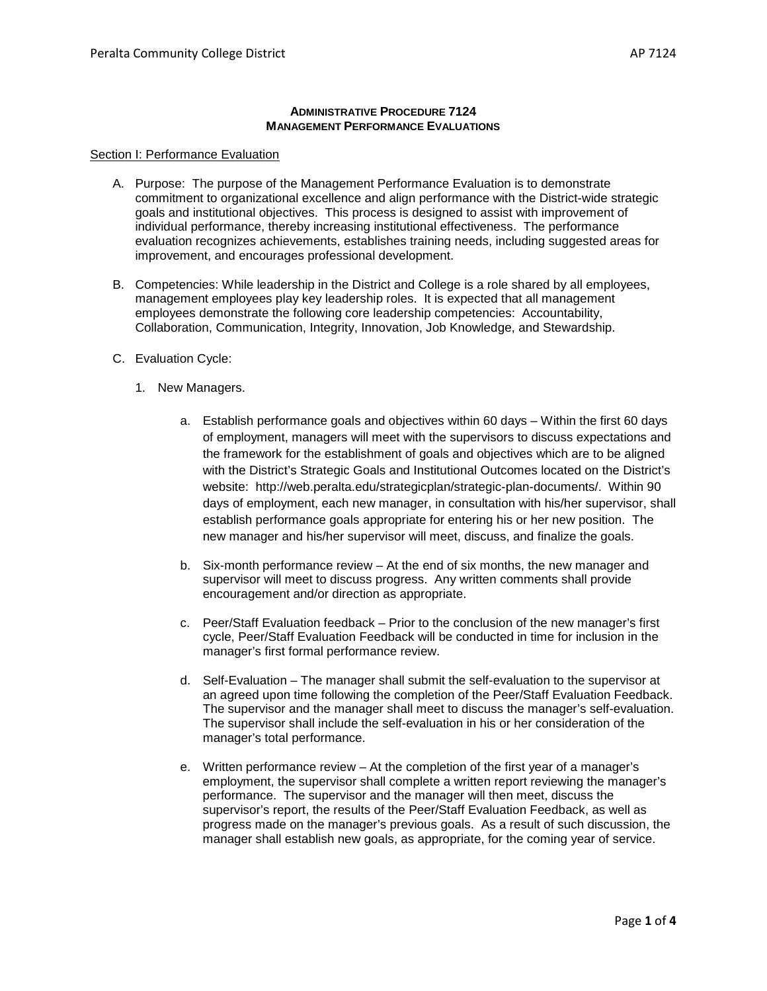#### **ADMINISTRATIVE PROCEDURE 7124 MANAGEMENT PERFORMANCE EVALUATIONS**

#### Section I: Performance Evaluation

- A. Purpose: The purpose of the Management Performance Evaluation is to demonstrate commitment to organizational excellence and align performance with the District-wide strategic goals and institutional objectives. This process is designed to assist with improvement of individual performance, thereby increasing institutional effectiveness. The performance evaluation recognizes achievements, establishes training needs, including suggested areas for improvement, and encourages professional development.
- B. Competencies: While leadership in the District and College is a role shared by all employees, management employees play key leadership roles. It is expected that all management employees demonstrate the following core leadership competencies: Accountability, Collaboration, Communication, Integrity, Innovation, Job Knowledge, and Stewardship.
- C. Evaluation Cycle:
	- 1. New Managers.
		- a. Establish performance goals and objectives within 60 days Within the first 60 days of employment, managers will meet with the supervisors to discuss expectations and the framework for the establishment of goals and objectives which are to be aligned with the District's Strategic Goals and Institutional Outcomes located on the District's website: http://web.peralta.edu/strategicplan/strategic-plan-documents/. Within 90 days of employment, each new manager, in consultation with his/her supervisor, shall establish performance goals appropriate for entering his or her new position. The new manager and his/her supervisor will meet, discuss, and finalize the goals.
		- b. Six-month performance review At the end of six months, the new manager and supervisor will meet to discuss progress. Any written comments shall provide encouragement and/or direction as appropriate.
		- c. Peer/Staff Evaluation feedback Prior to the conclusion of the new manager's first cycle, Peer/Staff Evaluation Feedback will be conducted in time for inclusion in the manager's first formal performance review.
		- d. Self-Evaluation The manager shall submit the self-evaluation to the supervisor at an agreed upon time following the completion of the Peer/Staff Evaluation Feedback. The supervisor and the manager shall meet to discuss the manager's self-evaluation. The supervisor shall include the self-evaluation in his or her consideration of the manager's total performance.
		- e. Written performance review At the completion of the first year of a manager's employment, the supervisor shall complete a written report reviewing the manager's performance. The supervisor and the manager will then meet, discuss the supervisor's report, the results of the Peer/Staff Evaluation Feedback, as well as progress made on the manager's previous goals. As a result of such discussion, the manager shall establish new goals, as appropriate, for the coming year of service.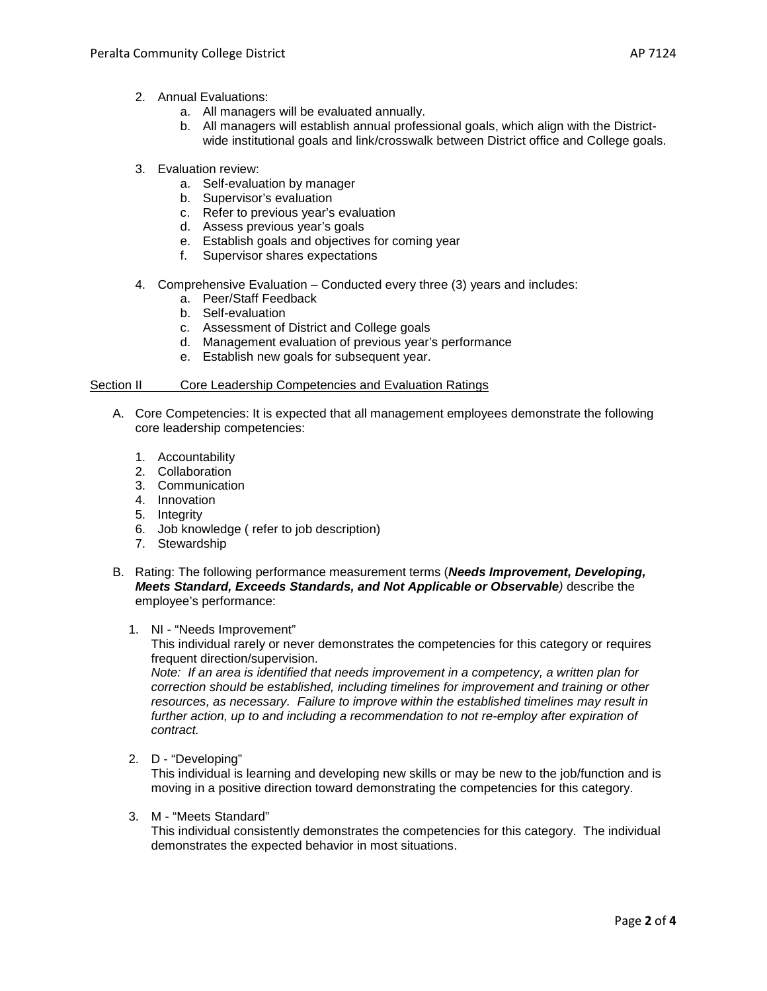- a. All managers will be evaluated annually.
- b. All managers will establish annual professional goals, which align with the Districtwide institutional goals and link/crosswalk between District office and College goals.
- 3. Evaluation review:
	- a. Self-evaluation by manager
	- b. Supervisor's evaluation
	- c. Refer to previous year's evaluation
	- d. Assess previous year's goals
	- e. Establish goals and objectives for coming year
	- f. Supervisor shares expectations
- 4. Comprehensive Evaluation Conducted every three (3) years and includes:
	- a. Peer/Staff Feedback
		- b. Self-evaluation
		- c. Assessment of District and College goals
	- d. Management evaluation of previous year's performance
	- e. Establish new goals for subsequent year.

# Section II Core Leadership Competencies and Evaluation Ratings

- A. Core Competencies: It is expected that all management employees demonstrate the following core leadership competencies:
	- 1. Accountability
	- 2. Collaboration
	- 3. Communication
	- 4. Innovation
	- 5. Integrity
	- 6. Job knowledge ( refer to job description)
	- 7. Stewardship
- B. Rating: The following performance measurement terms (*Needs Improvement, Developing, Meets Standard, Exceeds Standards, and Not Applicable or Observable)* describe the employee's performance:

## 1. NI - "Needs Improvement"

This individual rarely or never demonstrates the competencies for this category or requires frequent direction/supervision.

*Note: If an area is identified that needs improvement in a competency, a written plan for correction should be established, including timelines for improvement and training or other resources, as necessary. Failure to improve within the established timelines may result in further action, up to and including a recommendation to not re-employ after expiration of contract.*

2. D - "Developing"

This individual is learning and developing new skills or may be new to the job/function and is moving in a positive direction toward demonstrating the competencies for this category.

3. M - "Meets Standard"

This individual consistently demonstrates the competencies for this category. The individual demonstrates the expected behavior in most situations.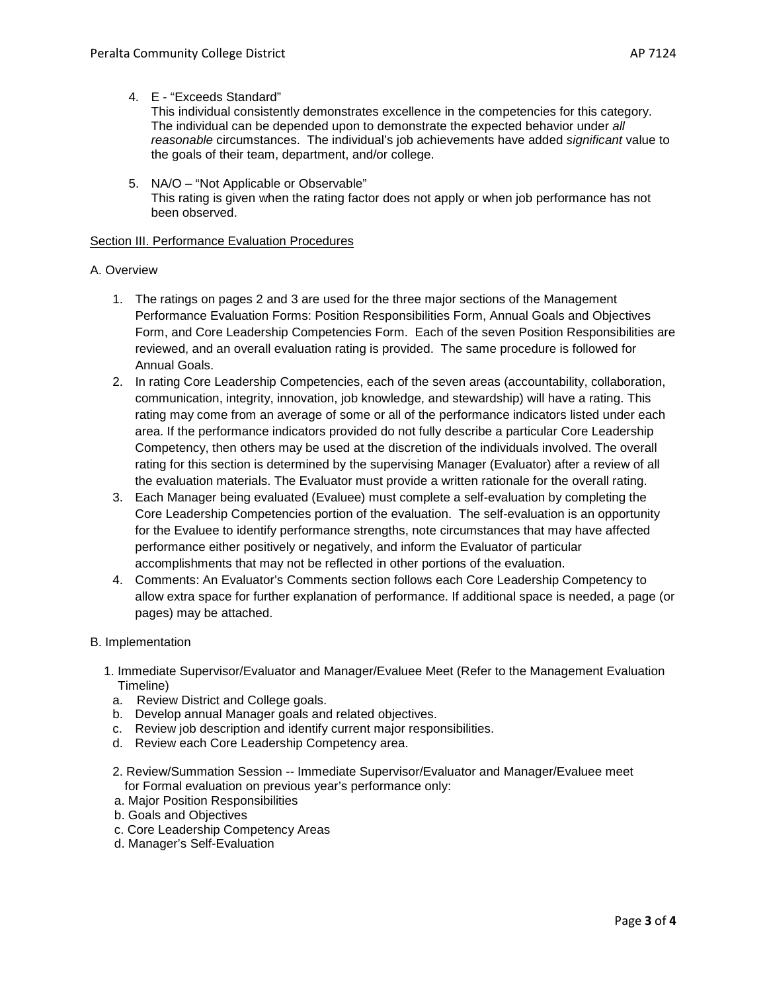This individual consistently demonstrates excellence in the competencies for this category. The individual can be depended upon to demonstrate the expected behavior under *all reasonable* circumstances. The individual's job achievements have added *significant* value to the goals of their team, department, and/or college.

5. NA/O – "Not Applicable or Observable" This rating is given when the rating factor does not apply or when job performance has not been observed.

## Section III. Performance Evaluation Procedures

# A. Overview

- 1. The ratings on pages 2 and 3 are used for the three major sections of the Management Performance Evaluation Forms: Position Responsibilities Form, Annual Goals and Objectives Form, and Core Leadership Competencies Form. Each of the seven Position Responsibilities are reviewed, and an overall evaluation rating is provided. The same procedure is followed for Annual Goals.
- 2. In rating Core Leadership Competencies, each of the seven areas (accountability, collaboration, communication, integrity, innovation, job knowledge, and stewardship) will have a rating. This rating may come from an average of some or all of the performance indicators listed under each area. If the performance indicators provided do not fully describe a particular Core Leadership Competency, then others may be used at the discretion of the individuals involved. The overall rating for this section is determined by the supervising Manager (Evaluator) after a review of all the evaluation materials. The Evaluator must provide a written rationale for the overall rating.
- 3. Each Manager being evaluated (Evaluee) must complete a self-evaluation by completing the Core Leadership Competencies portion of the evaluation. The self-evaluation is an opportunity for the Evaluee to identify performance strengths, note circumstances that may have affected performance either positively or negatively, and inform the Evaluator of particular accomplishments that may not be reflected in other portions of the evaluation.
- 4. Comments: An Evaluator's Comments section follows each Core Leadership Competency to allow extra space for further explanation of performance. If additional space is needed, a page (or pages) may be attached.
- B. Implementation
	- 1. Immediate Supervisor/Evaluator and Manager/Evaluee Meet (Refer to the Management Evaluation Timeline)
		- a. Review District and College goals.
		- b. Develop annual Manager goals and related objectives.
		- c. Review job description and identify current major responsibilities.
	- d. Review each Core Leadership Competency area.
	- 2. Review/Summation Session *--* Immediate Supervisor/Evaluator and Manager/Evaluee meet for Formal evaluation on previous year's performance only:
	- a. Major Position Responsibilities
	- b. Goals and Objectives
	- c. Core Leadership Competency Areas
	- d. Manager's Self-Evaluation